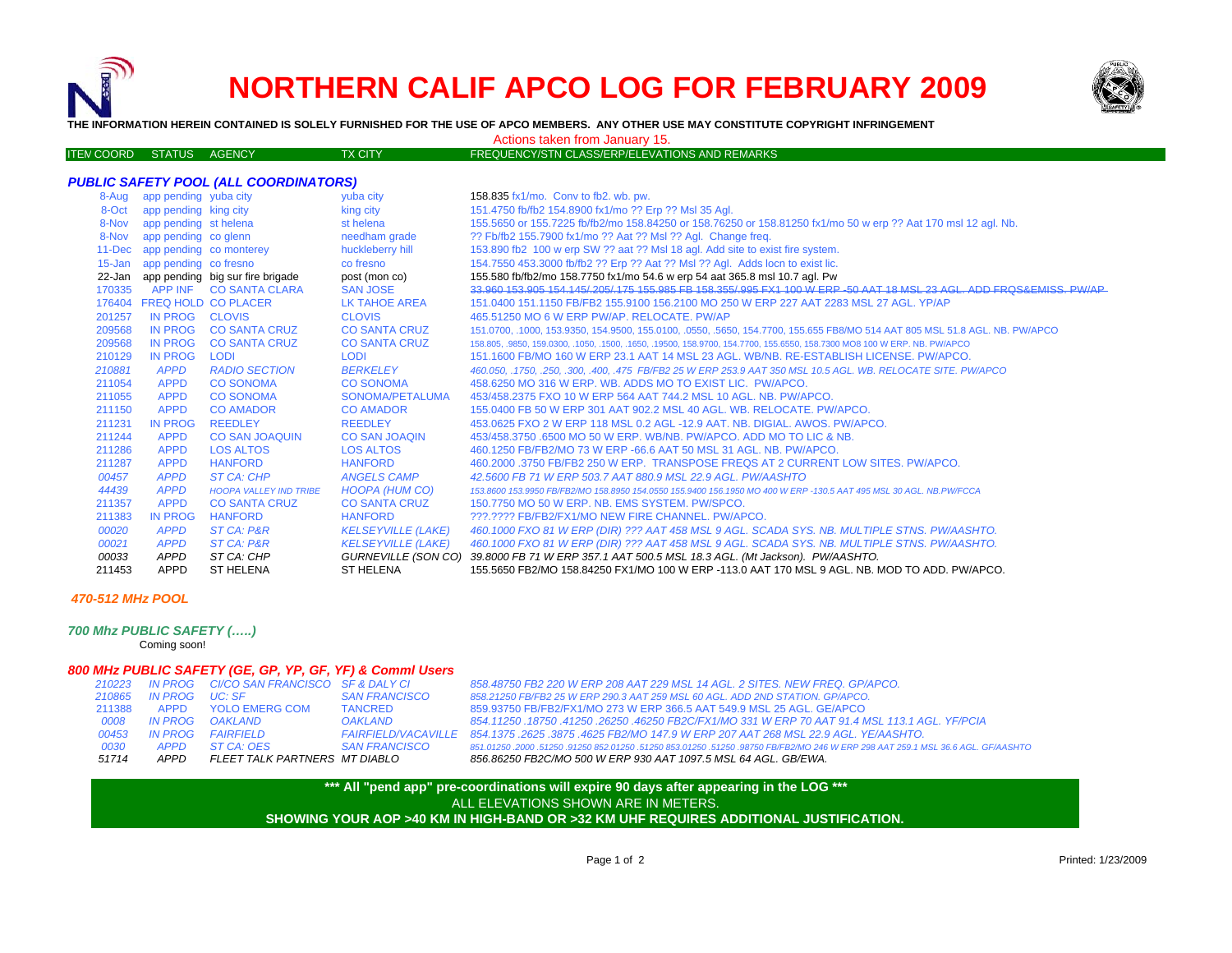



**THE INFORMATION HEREIN CONTAINED IS SOLELY FURNISHED FOR THE USE OF APCO MEMBERS. ANY OTHER USE MAY CONSTITUTE COPYRIGHT INFRINGEMENT**

Actions taken from January 15.

| <b>ITEN COORD STATUS AGENCY</b> |  | TX CITY | FREQUENCY/STN CLASS/ERP/ELEVATIONS AND REMARKS |  |
|---------------------------------|--|---------|------------------------------------------------|--|

| 8-Aug  | app pending yuba city          |                                         | yuba city                 | 158.835 fx1/mo. Conv to fb2. wb. pw.                                                                                        |
|--------|--------------------------------|-----------------------------------------|---------------------------|-----------------------------------------------------------------------------------------------------------------------------|
|        | 8-Oct app pending king city    |                                         | king city                 | 151.4750 fb/fb2 154.8900 fx1/mo ?? Erp ?? Msl 35 Agl.                                                                       |
| 8-Nov  | app pending st helena          |                                         | st helena                 | 155.5650 or 155.7225 fb/fb2/mo 158.84250 or 158.76250 or 158.81250 fx1/mo 50 w erp ?? Aat 170 msl 12 agl. Nb.               |
| 8-Nov  | app pending co glenn           |                                         | needham grade             | ?? Fb/fb2 155.7900 fx1/mo ?? Aat ?? Msl ?? Agl. Change freq.                                                                |
|        | 11-Dec app pending co monterey |                                         | huckleberry hill          | 153.890 fb2 100 w erp SW ?? aat ?? Msl 18 agl. Add site to exist fire system.                                               |
|        | 15-Jan app pending co fresno   |                                         | co fresno                 | 154.7550 453.3000 fb/fb2 ?? Erp ?? Aat ?? MsI ?? AgI. Adds locn to exist lic.                                               |
|        |                                | 22-Jan app pending big sur fire brigade | post (mon co)             | 155.580 fb/fb2/mo 158.7750 fx1/mo 54.6 w erp 54 aat 365.8 msl 10.7 agl. Pw                                                  |
| 170335 |                                | APP INF CO SANTA CLARA                  | <b>SAN JOSE</b>           | 33 960 153 905 154 145/ 205/ 175 155 985 FB 158 355/ 995 FX1 100 W FRP-50 AAT 18 MSL 23 AGL ADD FROS&FMISS PW/AP            |
|        |                                | 176404 FREQ HOLD CO PLACER              | LK TAHOE AREA             | 151.0400 151.1150 FB/FB2 155.9100 156.2100 MO 250 W ERP 227 AAT 2283 MSL 27 AGL. YP/AP                                      |
| 201257 | IN PROG CLOVIS                 |                                         | <b>CLOVIS</b>             | 465.51250 MO 6 W ERP PW/AP, RELOCATE, PW/AP                                                                                 |
| 209568 | <b>IN PROG</b>                 | <b>CO SANTA CRUZ</b>                    | <b>CO SANTA CRUZ</b>      | 151.0700, .1000, 153.9350, 154.9500, 155.0100, .0550, .5650, 154.7700, 155.655 FB8/MO 514 AAT 805 MSL 51.8 AGL. NB. PW/APCO |
| 209568 | <b>IN PROG</b>                 | <b>CO SANTA CRUZ</b>                    | <b>CO SANTA CRUZ</b>      | 158,805, 9850, 159,0300, 1050, 1500, 1650, 19500, 158,9700, 154,7700, 155,6550, 158,7300 MO8 100 W ERP, NB, PW/APCO         |
| 210129 | <b>IN PROG</b>                 | <b>LODI</b>                             | <b>LODI</b>               | 151.1600 FB/MO 160 W ERP 23.1 AAT 14 MSL 23 AGL, WB/NB, RE-ESTABLISH LICENSE, PW/APCO,                                      |
| 210881 | <b>APPD</b>                    | <b>RADIO SECTION</b>                    | <b>BERKELEY</b>           | 460.050, .1750, .250, .300, .400, .475 FB/FB2 25 W ERP 253.9 AAT 350 MSL 10.5 AGL. WB. RELOCATE SITE. PW/APCO               |
| 211054 | <b>APPD</b>                    | <b>CO SONOMA</b>                        | <b>CO SONOMA</b>          | 458,6250 MO 316 W ERP, WB, ADDS MO TO EXIST LIC. PW/APCO.                                                                   |
| 211055 | <b>APPD</b>                    | <b>CO SONOMA</b>                        | SONOMA/PETALUMA           | 453/458.2375 FXO 10 W ERP 564 AAT 744.2 MSL 10 AGL, NB, PW/APCO,                                                            |
| 211150 | <b>APPD</b>                    | <b>CO AMADOR</b>                        | <b>CO AMADOR</b>          | 155,0400 FB 50 W ERP 301 AAT 902.2 MSL 40 AGL, WB, RELOCATE, PW/APCO,                                                       |
| 211231 | <b>IN PROG</b>                 | <b>REEDLEY</b>                          | <b>REEDLEY</b>            | 453,0625 FXO 2 W ERP 118 MSL 0.2 AGL -12.9 AAT, NB, DIGIAL, AWOS, PW/APCO,                                                  |
| 211244 | <b>APPD</b>                    | <b>CO SAN JOAQUIN</b>                   | <b>CO SAN JOAQIN</b>      | 453/458.3750 .6500 MO 50 W ERP. WB/NB. PW/APCO. ADD MO TO LIC & NB.                                                         |
| 211286 | <b>APPD</b>                    | <b>LOS ALTOS</b>                        | <b>LOS ALTOS</b>          | 460.1250 FB/FB2/MO 73 W ERP -66.6 AAT 50 MSL 31 AGL, NB, PW/APCO.                                                           |
| 211287 | <b>APPD</b>                    | <b>HANFORD</b>                          | <b>HANFORD</b>            | 460.2000 .3750 FB/FB2 250 W ERP. TRANSPOSE FREQS AT 2 CURRENT LOW SITES. PW/APCO.                                           |
| 00457  | <b>APPD</b>                    | ST CA: CHP                              | <b>ANGELS CAMP</b>        | 42.5600 FB 71 W ERP 503.7 AAT 880.9 MSL 22.9 AGL, PW/AASHTO                                                                 |
| 44439  | <b>APPD</b>                    | <b>HOOPA VALLEY IND TRIBE</b>           | HOOPA (HUM CO)            | 153,8600 153,9950 FB/FB2/MO 158,8950 154,0550 155,9400 156,1950 MO 400 W ERP -130,5 AAT 495 MSL 30 AGL, NB,PW/FCCA          |
| 211357 | <b>APPD</b>                    | <b>CO SANTA CRUZ</b>                    | <b>CO SANTA CRUZ</b>      | 150.7750 MO 50 W ERP. NB. EMS SYSTEM. PW/SPCO.                                                                              |
| 211383 | <b>IN PROG</b>                 | <b>HANFORD</b>                          | <b>HANFORD</b>            | ???.???? FB/FB2/FX1/MO NEW FIRE CHANNEL. PW/APCO.                                                                           |
| 00020  | <b>APPD</b>                    | ST CA: P&R                              | <b>KELSEYVILLE (LAKE)</b> | 460.1000 FXO 81 W ERP (DIR) ??? AAT 458 MSL 9 AGL. SCADA SYS. NB. MULTIPLE STNS. PW/AASHTO.                                 |
| 00021  | <b>APPD</b>                    | ST CA: P&R                              | <b>KELSEYVILLE (LAKE)</b> | 460.1000 FXO 81 W ERP (DIR) ??? AAT 458 MSL 9 AGL. SCADA SYS. NB. MULTIPLE STNS. PW/AASHTO.                                 |
| 00033  | <b>APPD</b>                    | ST CA: CHP                              |                           | GURNEVILLE (SON CO) 39.8000 FB 71 W ERP 357.1 AAT 500.5 MSL 18.3 AGL. (Mt Jackson). PW/AASHTO.                              |
| 211453 | <b>APPD</b>                    | <b>ST HELENA</b>                        | <b>ST HELENA</b>          | 155.5650 FB2/MO 158.84250 FX1/MO 100 W ERP -113.0 AAT 170 MSL 9 AGL. NB. MOD TO ADD. PW/APCO.                               |
|        |                                |                                         |                           |                                                                                                                             |

## *470-512 MHz POOL*

*700 Mhz PUBLIC SAFETY (…..)*

Coming soon!

## *800 MHz PUBLIC SAFETY (GE, GP, YP, GF, YF) & Comml Users*

| 51714  | APPD            | FLEET TALK PARTNERS MT DIABLO                   |                            |
|--------|-----------------|-------------------------------------------------|----------------------------|
| 0030   | <b>APPD</b>     | ST CA: OES                                      | <b>SAN FRANCISCO</b>       |
| 00453  |                 | <b>IN PROG</b> FAIRFIELD                        | <b>FAIRFIELD/VACAVILLE</b> |
| 0008   | IN PROG OAKLAND |                                                 | <b>OAKLAND</b>             |
| 211388 |                 | APPD YOLO EMERG COM                             | <b>TANCRED</b>             |
| 210865 | IN PROG         | $\bigcup C^{\perp}$ SF                          | <b>SAN FRANCISCO</b>       |
|        |                 | 210223 IN PROG CI/CO SAN FRANCISCO SF & DALY CI |                            |
|        |                 |                                                 |                            |

*210223 IN PROG CI/CO SAN FRANCISCO SF & DALY CI 858.48750 FB2 220 W ERP 208 AAT 229 MSL 14 AGL. 2 SITES. NEW FREQ. GP/APCO. 858.21250 FB/FB2 25 W ERP 290.3 AAT 259 MSL 60 AGL. ADD 2ND STATION. GP/APCO.* 859.93750 FB/FB2/FX1/MO 273 W ERP 366.5 AAT 549.9 MSL 25 AGL. GE/APCO *0008 IN PROG OAKLAND OAKLAND 854.11250 .18750 .41250 .26250 .46250 FB2C/FX1/MO 331 W ERP 70 AAT 91.4 MSL 113.1 AGL. YF/PCIA 854.1375 .2625 .3875 .4625 FB2/MO 147.9 W ERP 207 AAT 268 MSL 22.9 AGL. YE/AASHTO. 851.01250 .2000 .51250 .91250 852.01250 .51250 853.01250 .51250 .98750 FB/FB2/MO 246 W ERP 298 AAT 259.1 MSL 36.6 AGL. GF/AASHTO APPD FLEET TALK PARTNERS MT DIABLO 856.86250 FB2C/MO 500 W ERP 930 AAT 1097.5 MSL 64 AGL. GB/EWA.*

## **\*\*\* All "pend app" pre-coordinations will expire 90 days after appearing in the LOG \*\*\* SHOWING YOUR AOP >40 KM IN HIGH-BAND OR >32 KM UHF REQUIRES ADDITIONAL JUSTIFICATION.**  ALL ELEVATIONS SHOWN ARE IN METERS.